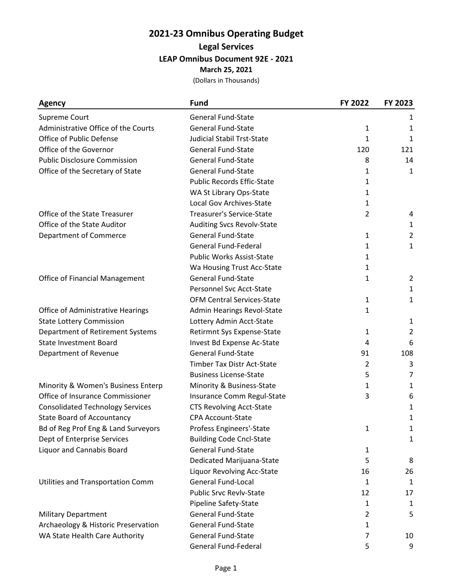# **2021-23 Omnibus Operating Budget**

**Legal Services**

**LEAP Omnibus Document 92E - 2021**

**March 25, 2021**

(Dollars in Thousands)

| <b>Agency</b>                            | <b>Fund</b>                       | FY 2022        | FY 2023        |
|------------------------------------------|-----------------------------------|----------------|----------------|
| Supreme Court                            | <b>General Fund-State</b>         |                | 1              |
| Administrative Office of the Courts      | <b>General Fund-State</b>         | 1              | 1              |
| Office of Public Defense                 | <b>Judicial Stabil Trst-State</b> | 1              | 1              |
| Office of the Governor                   | <b>General Fund-State</b>         | 120            | 121            |
| <b>Public Disclosure Commission</b>      | <b>General Fund-State</b>         | 8              | 14             |
| Office of the Secretary of State         | <b>General Fund-State</b>         | 1              | 1              |
|                                          | <b>Public Records Effic-State</b> | 1              |                |
|                                          | WA St Library Ops-State           | 1              |                |
|                                          | Local Gov Archives-State          | 1              |                |
| Office of the State Treasurer            | Treasurer's Service-State         | $\overline{2}$ | 4              |
| Office of the State Auditor              | Auditing Svcs Revolv-State        |                | $\mathbf{1}$   |
| <b>Department of Commerce</b>            | <b>General Fund-State</b>         | 1              | $\overline{2}$ |
|                                          | <b>General Fund-Federal</b>       | 1              | 1              |
|                                          | Public Works Assist-State         | 1              |                |
|                                          | Wa Housing Trust Acc-State        | $\mathbf{1}$   |                |
| <b>Office of Financial Management</b>    | <b>General Fund-State</b>         | 1              | 2              |
|                                          | Personnel Svc Acct-State          |                | $\mathbf{1}$   |
|                                          | <b>OFM Central Services-State</b> | 1              | 1              |
| Office of Administrative Hearings        | Admin Hearings Revol-State        | 1              |                |
| <b>State Lottery Commission</b>          | Lottery Admin Acct-State          |                | $\mathbf{1}$   |
| Department of Retirement Systems         | Retirmnt Sys Expense-State        | 1              | $\overline{2}$ |
| <b>State Investment Board</b>            | Invest Bd Expense Ac-State        | 4              | 6              |
| Department of Revenue                    | <b>General Fund-State</b>         | 91             | 108            |
|                                          | <b>Timber Tax Distr Act-State</b> | $\overline{2}$ | 3              |
|                                          | <b>Business License-State</b>     | 5              | 7              |
| Minority & Women's Business Enterp       | Minority & Business-State         | 1              | 1              |
| Office of Insurance Commissioner         | Insurance Comm Regul-State        | 3              | 6              |
| <b>Consolidated Technology Services</b>  | <b>CTS Revolving Acct-State</b>   |                | 1              |
| <b>State Board of Accountancy</b>        | <b>CPA Account-State</b>          |                | 1              |
| Bd of Reg Prof Eng & Land Surveyors      | Profess Engineers'-State          | 1              | 1              |
| Dept of Enterprise Services              | <b>Building Code Cncl-State</b>   |                | $\mathbf{1}$   |
| Liquor and Cannabis Board                | <b>General Fund-State</b>         | 1              |                |
|                                          | Dedicated Marijuana-State         | 5              | 8              |
|                                          | Liquor Revolving Acc-State        | 16             | 26             |
| <b>Utilities and Transportation Comm</b> | <b>General Fund-Local</b>         | 1              | 1              |
|                                          | <b>Public Srvc Revlv-State</b>    | 12             | 17             |
|                                          | Pipeline Safety-State             | 1              | 1              |
| <b>Military Department</b>               | <b>General Fund-State</b>         | 2              | 5              |
| Archaeology & Historic Preservation      | <b>General Fund-State</b>         | 1              |                |
| WA State Health Care Authority           | <b>General Fund-State</b>         | 7              | 10             |
|                                          | General Fund-Federal              | 5              | 9              |
|                                          |                                   |                |                |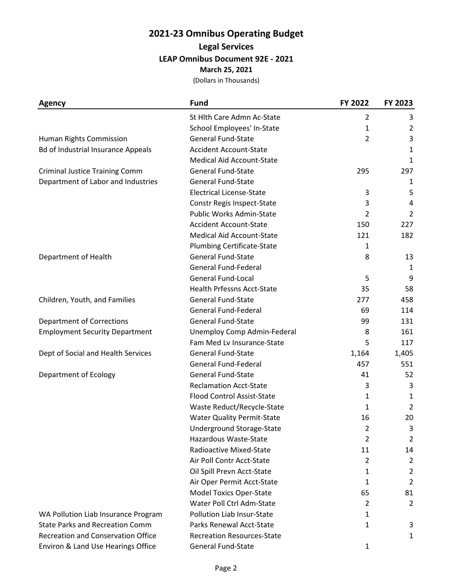# **2021-23 Omnibus Operating Budget**

## **Legal Services**

**LEAP Omnibus Document 92E - 2021**

**March 25, 2021**

(Dollars in Thousands)

| <b>Agency</b>                             | <b>Fund</b>                       | FY 2022        | FY 2023        |
|-------------------------------------------|-----------------------------------|----------------|----------------|
|                                           | St Hith Care Admn Ac-State        | 2              | 3              |
|                                           | School Employees' In-State        | 1              | $\overline{2}$ |
| Human Rights Commission                   | <b>General Fund-State</b>         | $\overline{2}$ | 3              |
| <b>Bd of Industrial Insurance Appeals</b> | <b>Accident Account-State</b>     |                | 1              |
|                                           | <b>Medical Aid Account-State</b>  |                | 1              |
| <b>Criminal Justice Training Comm</b>     | <b>General Fund-State</b>         | 295            | 297            |
| Department of Labor and Industries        | <b>General Fund-State</b>         |                | 1              |
|                                           | <b>Electrical License-State</b>   | 3              | 5              |
|                                           | Constr Regis Inspect-State        | 3              | 4              |
|                                           | Public Works Admin-State          | 2              | $\overline{2}$ |
|                                           | <b>Accident Account-State</b>     | 150            | 227            |
|                                           | <b>Medical Aid Account-State</b>  | 121            | 182            |
|                                           | <b>Plumbing Certificate-State</b> | 1              |                |
| Department of Health                      | <b>General Fund-State</b>         | 8              | 13             |
|                                           | <b>General Fund-Federal</b>       |                | $\mathbf{1}$   |
|                                           | <b>General Fund-Local</b>         | 5              | 9              |
|                                           | <b>Health Prfessns Acct-State</b> | 35             | 58             |
| Children, Youth, and Families             | <b>General Fund-State</b>         | 277            | 458            |
|                                           | <b>General Fund-Federal</b>       | 69             | 114            |
| <b>Department of Corrections</b>          | <b>General Fund-State</b>         | 99             | 131            |
| <b>Employment Security Department</b>     | Unemploy Comp Admin-Federal       | 8              | 161            |
|                                           | Fam Med Lv Insurance-State        | 5              | 117            |
| Dept of Social and Health Services        | <b>General Fund-State</b>         | 1,164          | 1,405          |
|                                           | <b>General Fund-Federal</b>       | 457            | 551            |
| Department of Ecology                     | <b>General Fund-State</b>         | 41             | 52             |
|                                           | <b>Reclamation Acct-State</b>     | 3              | 3              |
|                                           | <b>Flood Control Assist-State</b> | 1              | 1              |
|                                           | Waste Reduct/Recycle-State        | $\mathbf{1}$   | $\overline{2}$ |
|                                           | <b>Water Quality Permit-State</b> | 16             | 20             |
|                                           | Underground Storage-State         | $\mathcal{P}$  | 3              |
|                                           | Hazardous Waste-State             | 2              | 2              |
|                                           | Radioactive Mixed-State           | 11             | 14             |
|                                           | Air Poll Contr Acct-State         | $\overline{2}$ | $\overline{2}$ |
|                                           | Oil Spill Prevn Acct-State        | 1              | $\overline{2}$ |
|                                           | Air Oper Permit Acct-State        | 1              | $\overline{2}$ |
|                                           | <b>Model Toxics Oper-State</b>    | 65             | 81             |
|                                           | Water Poll Ctrl Adm-State         | 2              | 2              |
| WA Pollution Liab Insurance Program       | Pollution Liab Insur-State        | 1              |                |
| <b>State Parks and Recreation Comm</b>    | Parks Renewal Acct-State          | 1              | 3              |
| <b>Recreation and Conservation Office</b> | <b>Recreation Resources-State</b> |                | 1              |
| Environ & Land Use Hearings Office        | <b>General Fund-State</b>         | 1              |                |